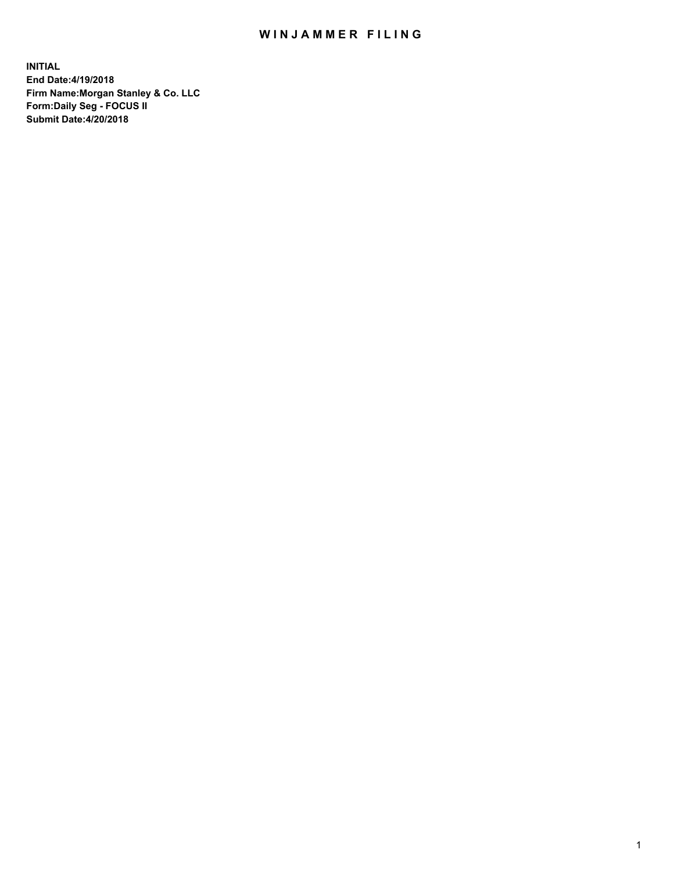## WIN JAMMER FILING

**INITIAL End Date:4/19/2018 Firm Name:Morgan Stanley & Co. LLC Form:Daily Seg - FOCUS II Submit Date:4/20/2018**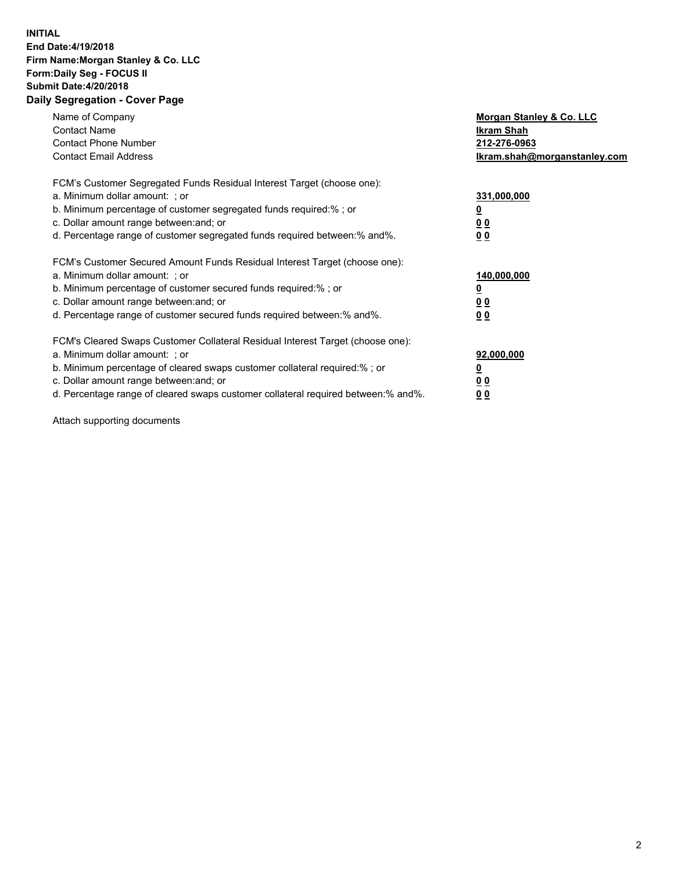## **INITIAL End Date:4/19/2018 Firm Name:Morgan Stanley & Co. LLC Form:Daily Seg - FOCUS II Submit Date:4/20/2018 Daily Segregation - Cover Page**

| Name of Company<br><b>Contact Name</b><br><b>Contact Phone Number</b><br><b>Contact Email Address</b>                                                                                                                                                                                                                          | Morgan Stanley & Co. LLC<br>Ikram Shah<br>212-276-0963<br>lkram.shah@morganstanley.com |
|--------------------------------------------------------------------------------------------------------------------------------------------------------------------------------------------------------------------------------------------------------------------------------------------------------------------------------|----------------------------------------------------------------------------------------|
| FCM's Customer Segregated Funds Residual Interest Target (choose one):<br>a. Minimum dollar amount: ; or<br>b. Minimum percentage of customer segregated funds required:%; or<br>c. Dollar amount range between: and; or<br>d. Percentage range of customer segregated funds required between: % and %.                        | 331,000,000<br>0 <sub>0</sub><br>00                                                    |
| FCM's Customer Secured Amount Funds Residual Interest Target (choose one):<br>a. Minimum dollar amount: ; or<br>b. Minimum percentage of customer secured funds required:%; or<br>c. Dollar amount range between: and; or<br>d. Percentage range of customer secured funds required between:% and%.                            | 140,000,000<br>0 <sub>0</sub><br>0 <sub>0</sub>                                        |
| FCM's Cleared Swaps Customer Collateral Residual Interest Target (choose one):<br>a. Minimum dollar amount: ; or<br>b. Minimum percentage of cleared swaps customer collateral required:% ; or<br>c. Dollar amount range between: and; or<br>d. Percentage range of cleared swaps customer collateral required between:% and%. | 92,000,000<br>0 <sub>0</sub><br>0 <sub>0</sub>                                         |

Attach supporting documents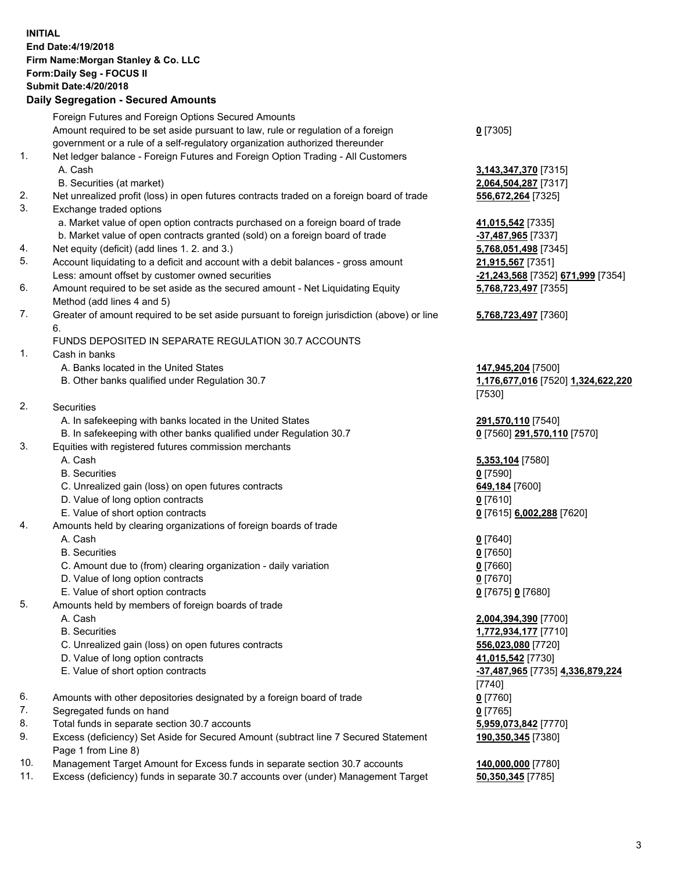## **INITIAL End Date:4/19/2018 Firm Name:Morgan Stanley & Co. LLC Form:Daily Seg - FOCUS II Submit Date:4/20/2018**

## **Daily Segregation - Secured Amounts**

Foreign Futures and Foreign Options Secured Amounts Amount required to be set aside pursuant to law, rule or regulation of a foreign government or a rule of a self-regulatory organization authorized thereunder 1. Net ledger balance - Foreign Futures and Foreign Option Trading - All Customers A. Cash **3,143,347,370** [7315] B. Securities (at market) **2,064,504,287** [7317] 2. Net unrealized profit (loss) in open futures contracts traded on a foreign board of trade **556,672,264** [7325] 3. Exchange traded options a. Market value of open option contracts purchased on a foreign board of trade **41,015,542** [7335] b. Market value of open contracts granted (sold) on a foreign board of trade **-37,487,965** [7337] 4. Net equity (deficit) (add lines 1. 2. and 3.) **5,768,051,498** [7345] 5. Account liquidating to a deficit and account with a debit balances - gross amount **21,915,567** [7351] Less: amount offset by customer owned securities **-21,243,568** [7352] **671,999** [7354] 6. Amount required to be set aside as the secured amount - Net Liquidating Equity Method (add lines 4 and 5) 7. Greater of amount required to be set aside pursuant to foreign jurisdiction (above) or line 6. FUNDS DEPOSITED IN SEPARATE REGULATION 30.7 ACCOUNTS 1. Cash in banks A. Banks located in the United States **147,945,204** [7500] B. Other banks qualified under Regulation 30.7 **1,176,677,016** [7520] **1,324,622,220** 2. Securities A. In safekeeping with banks located in the United States **291,570,110** [7540] B. In safekeeping with other banks qualified under Regulation 30.7 **0** [7560] **291,570,110** [7570] 3. Equities with registered futures commission merchants A. Cash **5,353,104** [7580] B. Securities **0** [7590] C. Unrealized gain (loss) on open futures contracts **649,184** [7600] D. Value of long option contracts **0** [7610] E. Value of short option contracts **0** [7615] **6,002,288** [7620] 4. Amounts held by clearing organizations of foreign boards of trade A. Cash **0** [7640] B. Securities **0** [7650] C. Amount due to (from) clearing organization - daily variation **0** [7660] D. Value of long option contracts **0** [7670] E. Value of short option contracts **0** [7675] **0** [7680] 5. Amounts held by members of foreign boards of trade A. Cash **2,004,394,390** [7700] B. Securities **1,772,934,177** [7710] C. Unrealized gain (loss) on open futures contracts **556,023,080** [7720] D. Value of long option contracts **41,015,542** [7730] E. Value of short option contracts **-37,487,965** [7735] **4,336,879,224** 6. Amounts with other depositories designated by a foreign board of trade **0** [7760] 7. Segregated funds on hand **0** [7765] 8. Total funds in separate section 30.7 accounts **5,959,073,842** [7770] 9. Excess (deficiency) Set Aside for Secured Amount (subtract line 7 Secured Statement Page 1 from Line 8)

- 10. Management Target Amount for Excess funds in separate section 30.7 accounts **140,000,000** [7780]
- 11. Excess (deficiency) funds in separate 30.7 accounts over (under) Management Target **50,350,345** [7785]

**0** [7305]

**5,768,723,497** [7355]

**5,768,723,497** [7360]

[7530]

[7740] **190,350,345** [7380]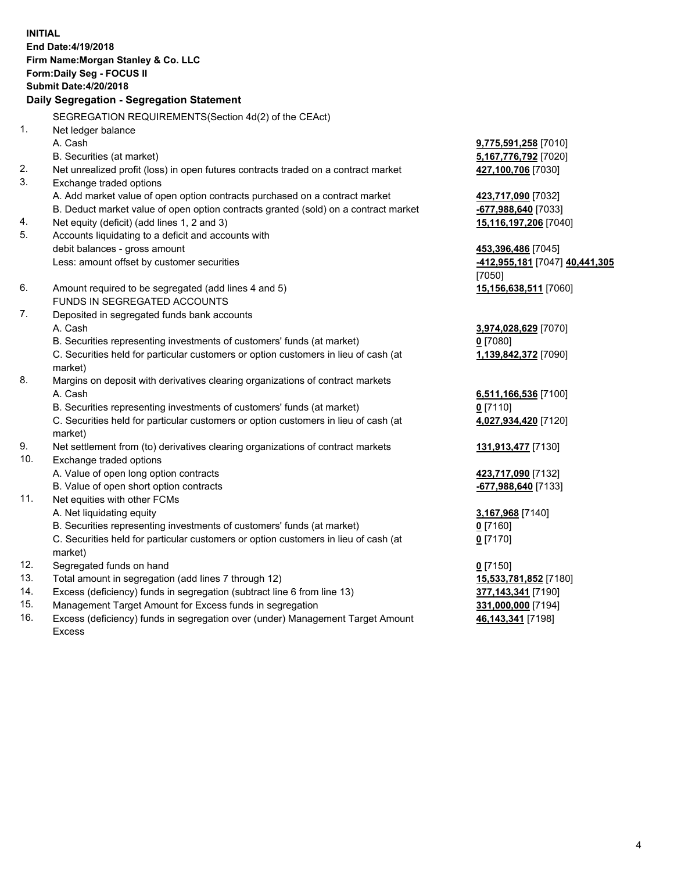**INITIAL End Date:4/19/2018 Firm Name:Morgan Stanley & Co. LLC Form:Daily Seg - FOCUS II Submit Date:4/20/2018 Daily Segregation - Segregation Statement** SEGREGATION REQUIREMENTS(Section 4d(2) of the CEAct) 1. Net ledger balance A. Cash **9,775,591,258** [7010] B. Securities (at market) **5,167,776,792** [7020] 2. Net unrealized profit (loss) in open futures contracts traded on a contract market **427,100,706** [7030] 3. Exchange traded options A. Add market value of open option contracts purchased on a contract market **423,717,090** [7032] B. Deduct market value of open option contracts granted (sold) on a contract market **-677,988,640** [7033] 4. Net equity (deficit) (add lines 1, 2 and 3) **15,116,197,206** [7040] 5. Accounts liquidating to a deficit and accounts with debit balances - gross amount **453,396,486** [7045] Less: amount offset by customer securities **-412,955,181** [7047] **40,441,305** [7050] 6. Amount required to be segregated (add lines 4 and 5) **15,156,638,511** [7060] FUNDS IN SEGREGATED ACCOUNTS 7. Deposited in segregated funds bank accounts A. Cash **3,974,028,629** [7070] B. Securities representing investments of customers' funds (at market) **0** [7080] C. Securities held for particular customers or option customers in lieu of cash (at market) **1,139,842,372** [7090] 8. Margins on deposit with derivatives clearing organizations of contract markets A. Cash **6,511,166,536** [7100] B. Securities representing investments of customers' funds (at market) **0** [7110] C. Securities held for particular customers or option customers in lieu of cash (at market) **4,027,934,420** [7120] 9. Net settlement from (to) derivatives clearing organizations of contract markets **131,913,477** [7130] 10. Exchange traded options A. Value of open long option contracts **423,717,090** [7132] B. Value of open short option contracts **-677,988,640** [7133] 11. Net equities with other FCMs A. Net liquidating equity **3,167,968** [7140] B. Securities representing investments of customers' funds (at market) **0** [7160] C. Securities held for particular customers or option customers in lieu of cash (at market) **0** [7170] 12. Segregated funds on hand **0** [7150] 13. Total amount in segregation (add lines 7 through 12) **15,533,781,852** [7180] 14. Excess (deficiency) funds in segregation (subtract line 6 from line 13) **377,143,341** [7190] 15. Management Target Amount for Excess funds in segregation **331,000,000** [7194]

16. Excess (deficiency) funds in segregation over (under) Management Target Amount Excess

**46,143,341** [7198]